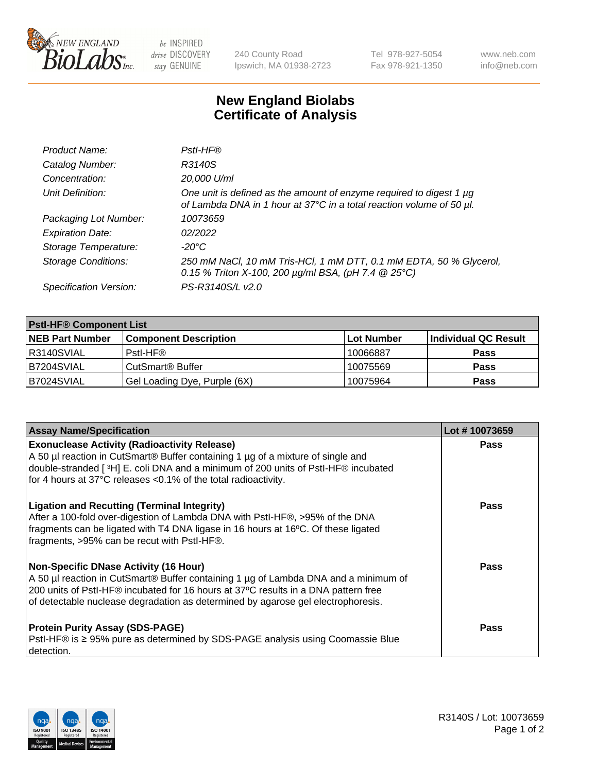

 $be$  INSPIRED drive DISCOVERY stay GENUINE

240 County Road Ipswich, MA 01938-2723 Tel 978-927-5054 Fax 978-921-1350 www.neb.com info@neb.com

## **New England Biolabs Certificate of Analysis**

| Product Name:              | Pstl-HF®                                                                                                                                             |
|----------------------------|------------------------------------------------------------------------------------------------------------------------------------------------------|
| Catalog Number:            | R3140S                                                                                                                                               |
| Concentration:             | 20,000 U/ml                                                                                                                                          |
| Unit Definition:           | One unit is defined as the amount of enzyme required to digest 1 µg<br>of Lambda DNA in 1 hour at 37°C in a total reaction volume of 50 µl.          |
| Packaging Lot Number:      | 10073659                                                                                                                                             |
| <b>Expiration Date:</b>    | 02/2022                                                                                                                                              |
| Storage Temperature:       | -20°C                                                                                                                                                |
| <b>Storage Conditions:</b> | 250 mM NaCl, 10 mM Tris-HCl, 1 mM DTT, 0.1 mM EDTA, 50 % Glycerol,<br>0.15 % Triton X-100, 200 $\mu$ g/ml BSA, (pH 7.4 $\textcircled{25}^{\circ}$ C) |
| Specification Version:     | PS-R3140S/L v2.0                                                                                                                                     |

| <b>PstI-HF® Component List</b> |                                    |                   |                      |  |
|--------------------------------|------------------------------------|-------------------|----------------------|--|
| <b>NEB Part Number</b>         | <b>Component Description</b>       | <b>Lot Number</b> | Individual QC Result |  |
| R3140SVIAL                     | Pstl-HF®                           | 10066887          | <b>Pass</b>          |  |
| B7204SVIAL                     | <b>CutSmart<sup>®</sup> Buffer</b> | 10075569          | <b>Pass</b>          |  |
| B7024SVIAL                     | Gel Loading Dye, Purple (6X)       | 10075964          | <b>Pass</b>          |  |

| <b>Assay Name/Specification</b>                                                                                                                                                                                                                                                                               | Lot #10073659 |
|---------------------------------------------------------------------------------------------------------------------------------------------------------------------------------------------------------------------------------------------------------------------------------------------------------------|---------------|
| <b>Exonuclease Activity (Radioactivity Release)</b><br>A 50 µl reaction in CutSmart® Buffer containing 1 µg of a mixture of single and<br>double-stranded [3H] E. coli DNA and a minimum of 200 units of PstI-HF® incubated                                                                                   | <b>Pass</b>   |
| for 4 hours at 37°C releases <0.1% of the total radioactivity.                                                                                                                                                                                                                                                |               |
| <b>Ligation and Recutting (Terminal Integrity)</b><br>After a 100-fold over-digestion of Lambda DNA with PstI-HF®, >95% of the DNA<br>fragments can be ligated with T4 DNA ligase in 16 hours at 16°C. Of these ligated<br>fragments, >95% can be recut with PstI-HF®.                                        | Pass          |
| <b>Non-Specific DNase Activity (16 Hour)</b><br>A 50 µl reaction in CutSmart® Buffer containing 1 µg of Lambda DNA and a minimum of<br>200 units of PstI-HF® incubated for 16 hours at 37°C results in a DNA pattern free<br>of detectable nuclease degradation as determined by agarose gel electrophoresis. | <b>Pass</b>   |
| <b>Protein Purity Assay (SDS-PAGE)</b><br>PstI-HF® is ≥ 95% pure as determined by SDS-PAGE analysis using Coomassie Blue<br>I detection.                                                                                                                                                                      | Pass          |